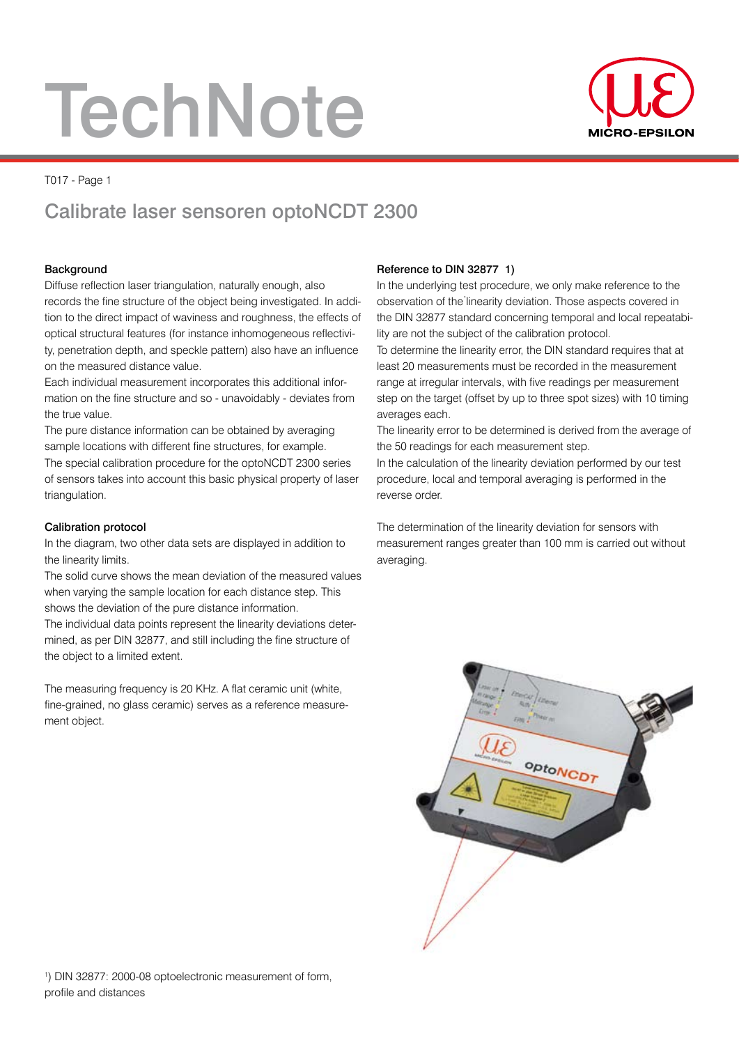# **TechNote**



#### T017 - Page 1

### Calibrate laser sensoren optoNCDT 2300

#### Background

Diffuse reflection laser triangulation, naturally enough, also records the fine structure of the object being investigated. In addition to the direct impact of waviness and roughness, the effects of optical structural features (for instance inhomogeneous reflectivity, penetration depth, and speckle pattern) also have an influence on the measured distance value.

Each individual measurement incorporates this additional information on the fine structure and so - unavoidably - deviates from the true value.

The pure distance information can be obtained by averaging sample locations with different fine structures, for example.

The special calibration procedure for the optoNCDT 2300 series of sensors takes into account this basic physical property of laser triangulation.

#### Calibration protocol

In the diagram, two other data sets are displayed in addition to the linearity limits.

The solid curve shows the mean deviation of the measured values when varying the sample location for each distance step. This shows the deviation of the pure distance information.

The individual data points represent the linearity deviations determined, as per DIN 32877, and still including the fine structure of the object to a limited extent.

The measuring frequency is 20 KHz. A flat ceramic unit (white, fine-grained, no glass ceramic) serves as a reference measurement object.

#### Reference to DIN 32877 1)

In the underlying test procedure, we only make reference to the observation of the linearity deviation. Those aspects covered in the DIN 32877 standard concerning temporal and local repeatability are not the subject of the calibration protocol.

To determine the linearity error, the DIN standard requires that at least 20 measurements must be recorded in the measurement range at irregular intervals, with five readings per measurement step on the target (offset by up to three spot sizes) with 10 timing averages each.

The linearity error to be determined is derived from the average of the 50 readings for each measurement step.

In the calculation of the linearity deviation performed by our test procedure, local and temporal averaging is performed in the reverse order.

The determination of the linearity deviation for sensors with measurement ranges greater than 100 mm is carried out without averaging.

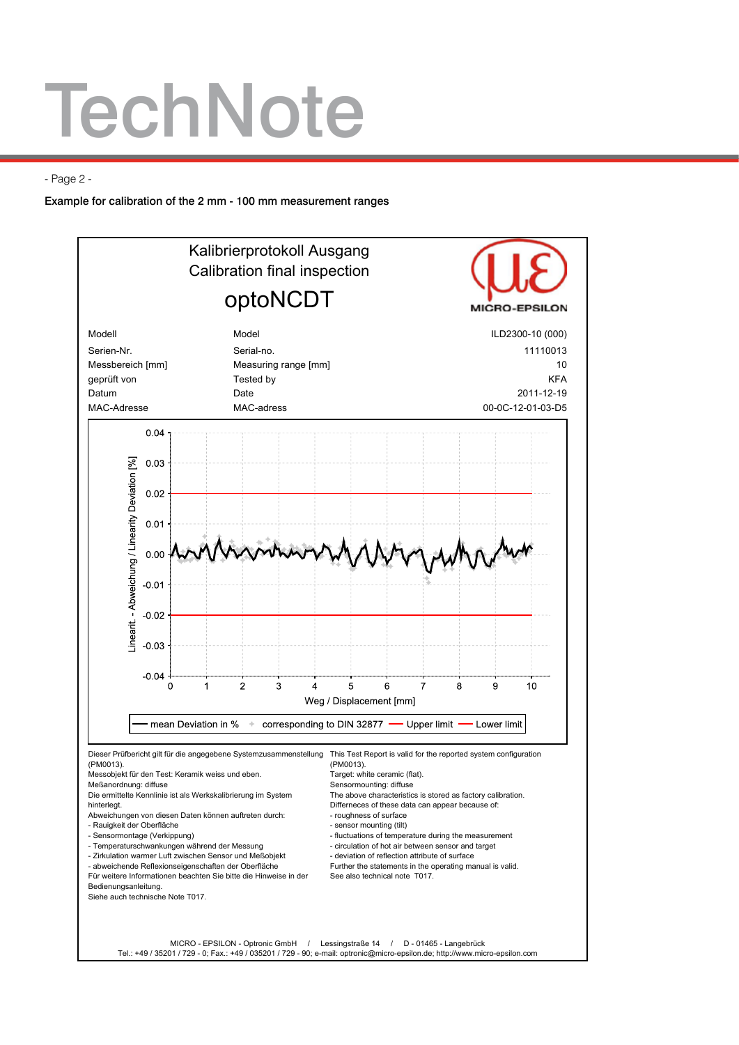## **TechNote**

- Page 2 -

Example for calibration of the 2 mm - 100 mm measurement ranges